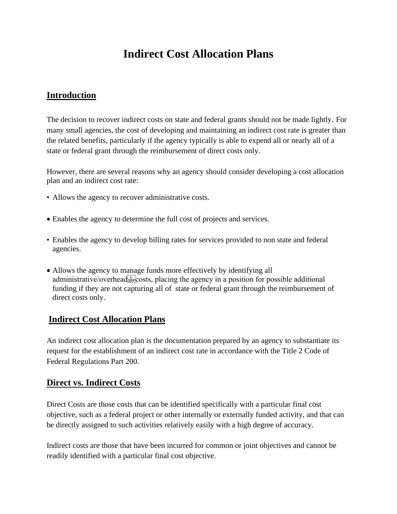# **Indirect Cost Allocation Plans**

## **Introduction**

The decision to recover indirect costs on state and federal grants should not be made lightly. For many small agencies, the cost of developing and maintaining an indirect cost rate is greater than the related benefits, particularly if the agency typically is able to expend all or nearly all of a state or federal grant through the reimbursement of direct costs only.

However, there are several reasons why an agency should consider developing a cost allocation plan and an indirect cost rate:

- Allows the agency to recover administrative costs.
- Enables the agency to determine the full cost of projects and services.
- Enables the agency to develop billing rates for services provided to non state and federal agencies.
- Allows the agency to manage funds more effectively by identifying all  $administative/overhead_{sep}^{[1]}$  costs, placing the agency in a position for possible additional funding if they are not capturing all of state or federal grant through the reimbursement of direct costs only.

### **Indirect Cost Allocation Plans**

An indirect cost allocation plan is the documentation prepared by an agency to substantiate its request for the establishment of an indirect cost rate in accordance with the Title 2 Code of Federal Regulations Part 200.

### **Direct vs. Indirect Costs**

Direct Costs are those costs that can be identified specifically with a particular final cost objective, such as a federal project or other internally or externally funded activity, and that can be directly assigned to such activities relatively easily with a high degree of accuracy.

Indirect costs are those that have been incurred for common or joint objectives and cannot be readily identified with a particular final cost objective.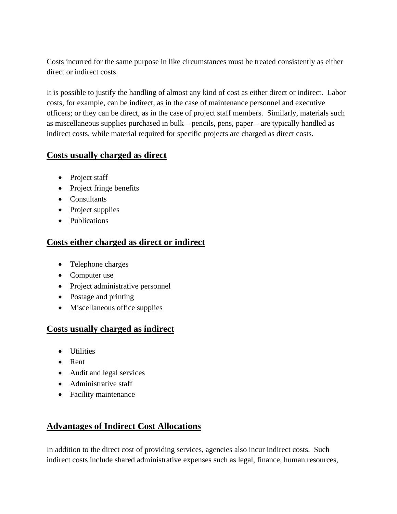Costs incurred for the same purpose in like circumstances must be treated consistently as either direct or indirect costs.

It is possible to justify the handling of almost any kind of cost as either direct or indirect. Labor costs, for example, can be indirect, as in the case of maintenance personnel and executive officers; or they can be direct, as in the case of project staff members. Similarly, materials such as miscellaneous supplies purchased in bulk – pencils, pens, paper – are typically handled as indirect costs, while material required for specific projects are charged as direct costs.

## **Costs usually charged as direct**

- Project staff
- Project fringe benefits
- Consultants
- Project supplies
- Publications

## **Costs either charged as direct or indirect**

- Telephone charges
- Computer use
- Project administrative personnel
- Postage and printing
- Miscellaneous office supplies

## **Costs usually charged as indirect**

- Utilities
- Rent
- Audit and legal services
- Administrative staff
- Facility maintenance

# **Advantages of Indirect Cost Allocations**

In addition to the direct cost of providing services, agencies also incur indirect costs. Such indirect costs include shared administrative expenses such as legal, finance, human resources,